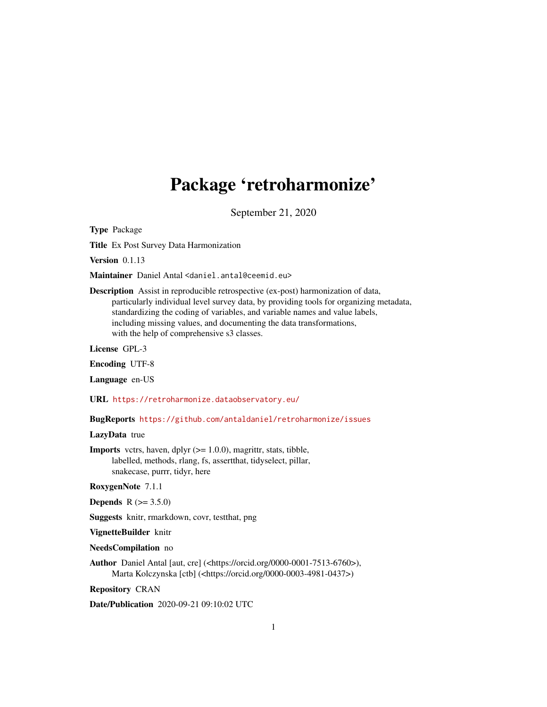# Package 'retroharmonize'

September 21, 2020

<span id="page-0-0"></span>Type Package

Title Ex Post Survey Data Harmonization

Version 0.1.13

Maintainer Daniel Antal <daniel.antal@ceemid.eu>

Description Assist in reproducible retrospective (ex-post) harmonization of data, particularly individual level survey data, by providing tools for organizing metadata, standardizing the coding of variables, and variable names and value labels, including missing values, and documenting the data transformations, with the help of comprehensive s3 classes.

License GPL-3

Encoding UTF-8

Language en-US

URL <https://retroharmonize.dataobservatory.eu/>

BugReports <https://github.com/antaldaniel/retroharmonize/issues>

#### LazyData true

**Imports** vctrs, haven, dplyr  $(>= 1.0.0)$ , magrittr, stats, tibble, labelled, methods, rlang, fs, assertthat, tidyselect, pillar, snakecase, purrr, tidyr, here

RoxygenNote 7.1.1

**Depends**  $R (= 3.5.0)$ 

Suggests knitr, rmarkdown, covr, testthat, png

VignetteBuilder knitr

#### NeedsCompilation no

Author Daniel Antal [aut, cre] (<https://orcid.org/0000-0001-7513-6760>), Marta Kolczynska [ctb] (<https://orcid.org/0000-0003-4981-0437>)

Repository CRAN

Date/Publication 2020-09-21 09:10:02 UTC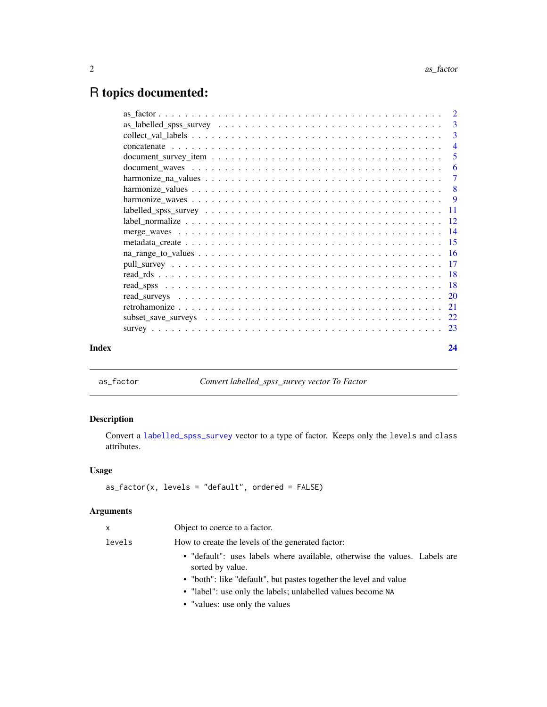## R topics documented:

|       | $\overline{4}$ |
|-------|----------------|
|       | -5             |
|       |                |
|       |                |
|       |                |
|       |                |
|       |                |
|       |                |
|       |                |
|       |                |
|       |                |
|       |                |
|       |                |
|       |                |
|       |                |
|       |                |
|       |                |
|       |                |
| Index | 24             |

<span id="page-1-1"></span>as\_factor *Convert labelled\_spss\_survey vector To Factor*

#### Description

Convert a [labelled\\_spss\\_survey](#page-10-1) vector to a type of factor. Keeps only the levels and class attributes.

#### Usage

```
as_factor(x, levels = "default", ordered = FALSE)
```
#### Arguments

| x      | Object to coerce to a factor.                                                                  |
|--------|------------------------------------------------------------------------------------------------|
| levels | How to create the levels of the generated factor:                                              |
|        | • "default": uses labels where available, otherwise the values. Labels are<br>sorted by value. |
|        | • "both": like "default", but pastes together the level and value                              |
|        | • "label": use only the labels; unlabelled values become NA                                    |
|        | • "values: use only the values"                                                                |

<span id="page-1-0"></span>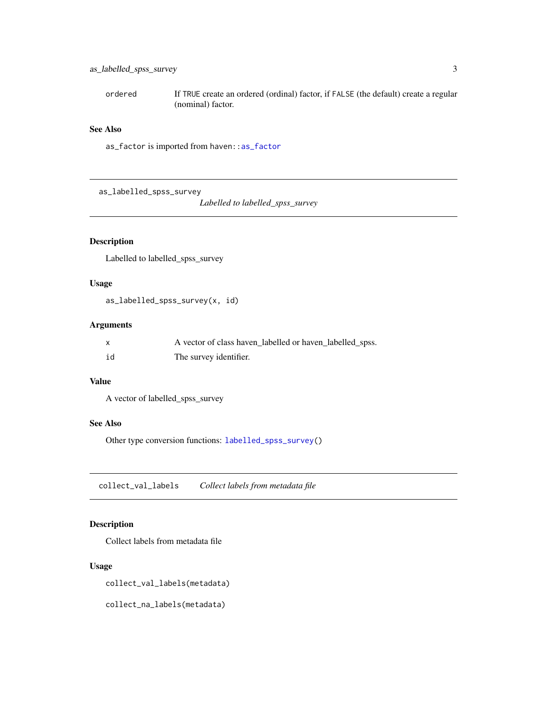#### <span id="page-2-0"></span>as\_labelled\_spss\_survey 3

ordered If TRUE create an ordered (ordinal) factor, if FALSE (the default) create a regular (nominal) factor.

#### See Also

as\_factor is imported from haven:[:as\\_factor](#page-1-1)

<span id="page-2-2"></span>as\_labelled\_spss\_survey

*Labelled to labelled\_spss\_survey*

#### Description

Labelled to labelled\_spss\_survey

#### Usage

as\_labelled\_spss\_survey(x, id)

#### Arguments

| $\mathsf{x}$ | A vector of class haven_labelled or haven_labelled_spss. |
|--------------|----------------------------------------------------------|
| id           | The survey identifier.                                   |

#### Value

```
A vector of labelled_spss_survey
```
#### See Also

Other type conversion functions: [labelled\\_spss\\_survey\(](#page-10-1))

<span id="page-2-1"></span>collect\_val\_labels *Collect labels from metadata file*

#### Description

Collect labels from metadata file

#### Usage

collect\_val\_labels(metadata)

collect\_na\_labels(metadata)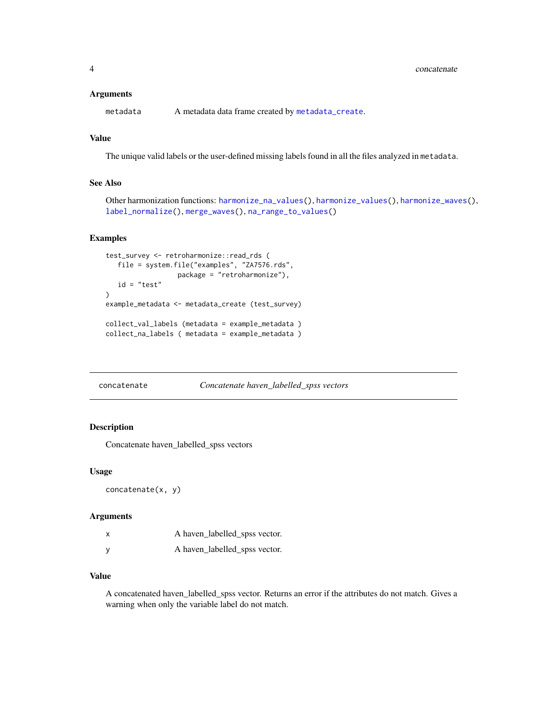#### <span id="page-3-0"></span>**Arguments**

metadata A metadata data frame created by [metadata\\_create](#page-14-1).

### Value

The unique valid labels or the user-defined missing labels found in all the files analyzed in metadata.

#### See Also

Other harmonization functions: [harmonize\\_na\\_values\(](#page-6-1)), [harmonize\\_values\(](#page-7-1)), [harmonize\\_waves\(](#page-8-1)), [label\\_normalize\(](#page-11-1)), [merge\\_waves\(](#page-13-1)), [na\\_range\\_to\\_values\(](#page-15-1))

#### Examples

```
test_survey <- retroharmonize::read_rds (
  file = system.file("examples", "ZA7576.rds",
                  package = "retroharmonize"),
  id = "test"
\mathcal{L}example_metadata <- metadata_create (test_survey)
collect_val_labels (metadata = example_metadata )
collect_na_labels ( metadata = example_metadata )
```
concatenate *Concatenate haven\_labelled\_spss vectors*

#### Description

Concatenate haven\_labelled\_spss vectors

#### Usage

concatenate(x, y)

#### Arguments

| x | A haven_labelled_spss vector. |
|---|-------------------------------|
| ٧ | A haven_labelled_spss vector. |

#### Value

A concatenated haven\_labelled\_spss vector. Returns an error if the attributes do not match. Gives a warning when only the variable label do not match.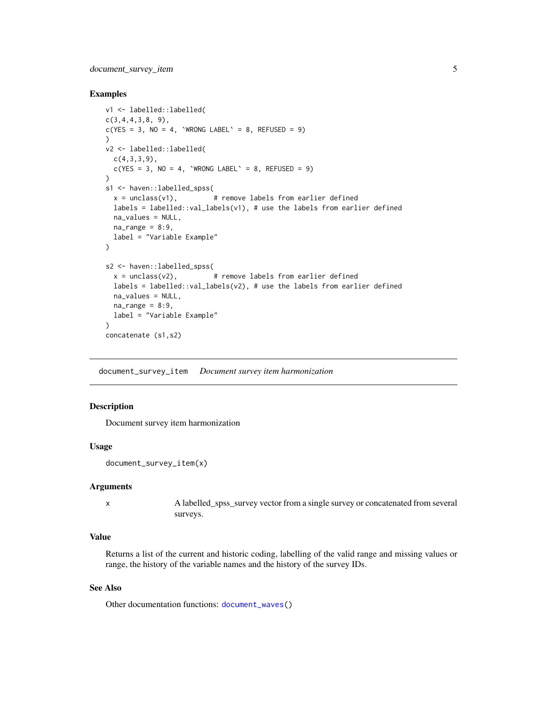#### <span id="page-4-0"></span>document\_survey\_item 5

#### Examples

```
v1 <- labelled::labelled(
c(3,4,4,3,8, 9),
c(YES = 3, NO = 4, 'WRONG LABEL' = 8, REFUSED = 9)\lambdav2 <- labelled::labelled(
  c(4,3,3,9),
  c(YES = 3, NO = 4, 'WRONG LABEL' = 8, REFUSED = 9)\lambdas1 <- haven::labelled_spss(
  x = unclass(v1), \qquad # remove labels from earlier defined
  labels = labelled::val_labels(v1), # use the labels from earlier defined
 na_values = NULL,
 na_range = 8:9,label = "Variable Example"
)
s2 <- haven::labelled_spss(
  x = unclass(v2), \qquad # remove labels from earlier defined
  labels = labelled::val_labels(v2), # use the labels from earlier defined
  na_values = NULL,
  na_range = 8:9,label = "Variable Example"
)
concatenate (s1,s2)
```
<span id="page-4-1"></span>document\_survey\_item *Document survey item harmonization*

#### Description

Document survey item harmonization

#### Usage

```
document_survey_item(x)
```
#### Arguments

x A labelled\_spss\_survey vector from a single survey or concatenated from several surveys.

#### Value

Returns a list of the current and historic coding, labelling of the valid range and missing values or range, the history of the variable names and the history of the survey IDs.

#### See Also

Other documentation functions: [document\\_waves\(](#page-5-1))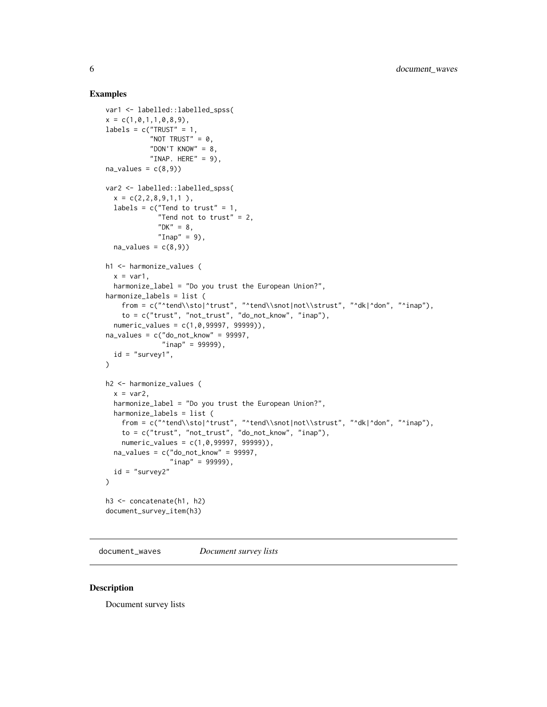#### <span id="page-5-0"></span>Examples

```
var1 <- labelled::labelled_spss(
x = c(1, 0, 1, 1, 0, 8, 9),
labels = c("TRY" = 1,"NOT TRUST" = 0.
           "DON'T KNOW" = 8,
           "INAP. HERE" = 9),
na\_values = c(8,9)var2 <- labelled::labelled_spss(
  x = c(2, 2, 8, 9, 1, 1),
  labels = c("Tend to trust" = 1,"Tend not to trust" = 2,
             "DK" = 8,"Inap" = 9),
  na\_values = c(8,9)h1 <- harmonize_values (
  x = var1,
  harmonize_label = "Do you trust the European Union?",
harmonize_labels = list (
   from = c("^tend\\sto|^n; "^tend\\sto|not|not\\sttust", "^dk|^don", "^inap"),to = c("trust", "not_trust", "do_not_know", "inap"),
  numeric_values = c(1,0,99997, 99999)),
na\_values = c("do\_not\_know" = 99997,"inap" = 99999,
  id = "survey1",)
h2 <- harmonize_values (
  x = var2,
  harmonize_label = "Do you trust the European Union?",
  harmonize_labels = list (
   from = c("^tend\\sto|^trust", "^tend\\snot|not\\strust", "^dk|^don", "^inap"),
   to = c("trust", "not\_trust", "do\_not\_know", "inap"),numeric_values = c(1,0,99997, 99999)),
  na\_values = c("do\_not\_known" = 99997,"inap" = 99999),
  id = "survey2"
\lambdah3 <- concatenate(h1, h2)
document_survey_item(h3)
```
<span id="page-5-1"></span>document\_waves *Document survey lists*

#### Description

Document survey lists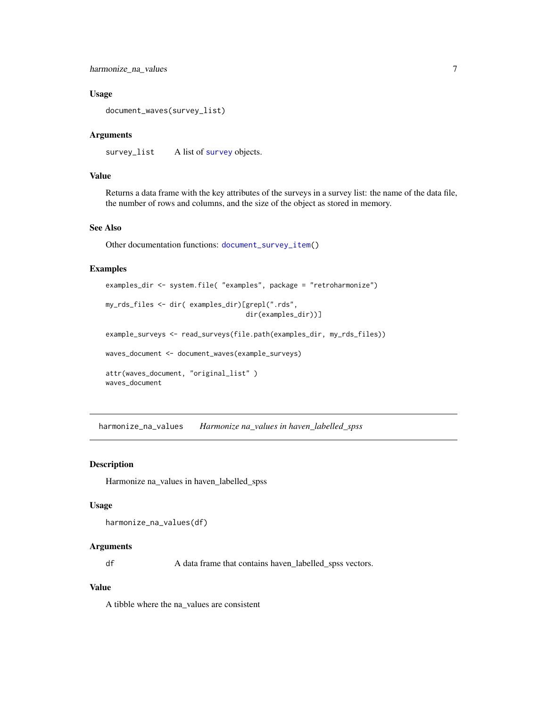#### <span id="page-6-0"></span>harmonize\_na\_values 7

#### Usage

```
document_waves(survey_list)
```
#### Arguments

[survey](#page-22-1)\_list A list of survey objects.

#### Value

Returns a data frame with the key attributes of the surveys in a survey list: the name of the data file, the number of rows and columns, and the size of the object as stored in memory.

#### See Also

Other documentation functions: [document\\_survey\\_item\(](#page-4-1))

#### Examples

```
examples_dir <- system.file( "examples", package = "retroharmonize")
my_rds_files <- dir( examples_dir)[grepl(".rds",
                                   dir(examples_dir))]
example_surveys <- read_surveys(file.path(examples_dir, my_rds_files))
waves_document <- document_waves(example_surveys)
attr(waves_document, "original_list" )
waves_document
```
<span id="page-6-1"></span>harmonize\_na\_values *Harmonize na\_values in haven\_labelled\_spss*

#### Description

Harmonize na\_values in haven\_labelled\_spss

#### Usage

```
harmonize_na_values(df)
```
#### Arguments

df A data frame that contains haven\_labelled\_spss vectors.

#### Value

A tibble where the na\_values are consistent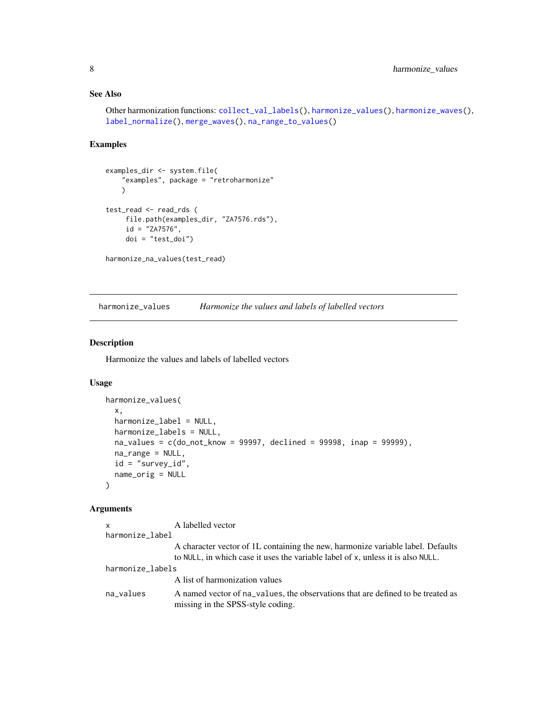#### <span id="page-7-0"></span>See Also

```
Other harmonization functions: collect_val_labels(), harmonize_values(), harmonize_waves(),
label_normalize(), merge_waves(), na_range_to_values()
```
#### Examples

```
examples_dir <- system.file(
    "examples", package = "retroharmonize"
    )
test_read <- read_rds (
     file.path(examples_dir, "ZA7576.rds"),
     id = "ZA7576",
     doi = "test_doi")
harmonize_na_values(test_read)
```
<span id="page-7-1"></span>harmonize\_values *Harmonize the values and labels of labelled vectors*

#### Description

Harmonize the values and labels of labelled vectors

#### Usage

```
harmonize_values(
  x,
 harmonize_label = NULL,
 harmonize_labels = NULL,
  na_values = c(do_not_know = 99997, declined = 99998, inap = 99999),
 na_range = NULL,
  id = "survey_id",name_orig = NULL
\lambda
```
#### Arguments

```
x A labelled vector
harmonize_label
                 A character vector of 1L containing the new, harmonize variable label. Defaults
                 to NULL, in which case it uses the variable label of x, unless it is also NULL.
harmonize_labels
                 A list of harmonization values
na_values A named vector of na_values, the observations that are defined to be treated as
                 missing in the SPSS-style coding.
```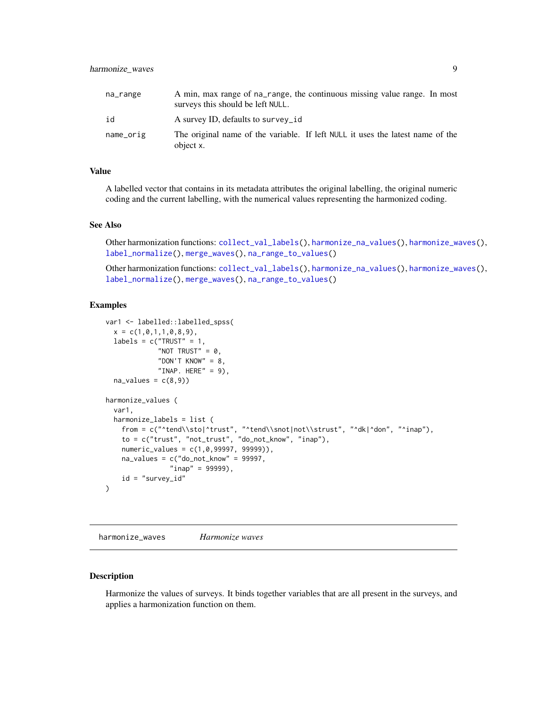<span id="page-8-0"></span>

| na_range  | A min, max range of na_range, the continuous missing value range. In most<br>surveys this should be left NULL. |
|-----------|----------------------------------------------------------------------------------------------------------------|
| id        | A survey ID, defaults to survey id                                                                             |
| name_orig | The original name of the variable. If left NULL it uses the latest name of the<br>object x.                    |

#### Value

A labelled vector that contains in its metadata attributes the original labelling, the original numeric coding and the current labelling, with the numerical values representing the harmonized coding.

#### See Also

Other harmonization functions: [collect\\_val\\_labels\(](#page-2-1)), [harmonize\\_na\\_values\(](#page-6-1)), [harmonize\\_waves\(](#page-8-1)), [label\\_normalize\(](#page-11-1)), [merge\\_waves\(](#page-13-1)), [na\\_range\\_to\\_values\(](#page-15-1))

Other harmonization functions: [collect\\_val\\_labels\(](#page-2-1)), [harmonize\\_na\\_values\(](#page-6-1)), [harmonize\\_waves\(](#page-8-1)), [label\\_normalize\(](#page-11-1)), [merge\\_waves\(](#page-13-1)), [na\\_range\\_to\\_values\(](#page-15-1))

#### Examples

```
var1 <- labelled::labelled_spss(
 x = c(1, 0, 1, 1, 0, 8, 9),
 labels = c("TRUST" = 1,"NOT TRUST" = 0,
             "DON'T KNOW" = 8,
             "INAP. HERE" = 9),
 na\_values = c(8,9)harmonize_values (
 var1,
 harmonize_labels = list (
    from = c("^tend\\sto|^trust", "^tend\\snot|not\\strust", "^dk|^don", "^inap"),
    to = c("trust", "not_trust", "do_not_know", "inap"),
    numeric_values = c(1,0,99997, 99999)),
    na\_values = c("do\_not\_known" = 99997,"inap" = 99999,
    id = "survey_id"\mathcal{L}
```
<span id="page-8-1"></span>harmonize\_waves *Harmonize waves*

#### Description

Harmonize the values of surveys. It binds together variables that are all present in the surveys, and applies a harmonization function on them.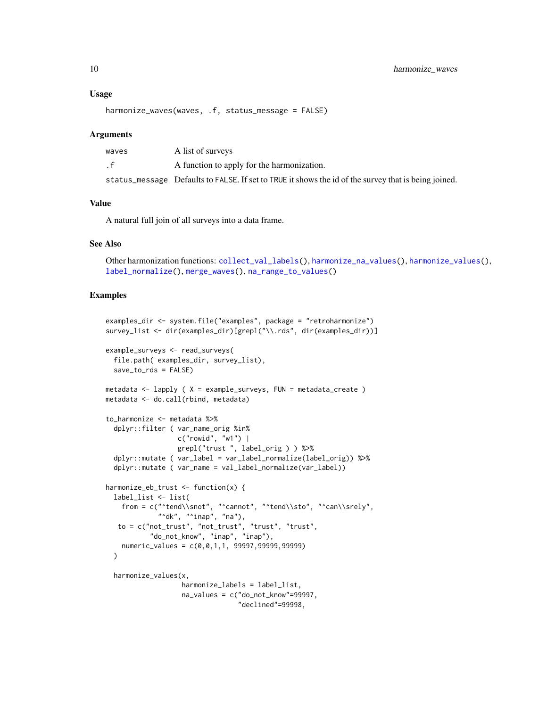#### <span id="page-9-0"></span>Usage

```
harmonize_waves(waves, .f, status_message = FALSE)
```
#### Arguments

| waves          | A list of surveys                                                                                    |
|----------------|------------------------------------------------------------------------------------------------------|
| . $\mathsf{f}$ | A function to apply for the harmonization.                                                           |
|                | status_message Defaults to FALSE. If set to TRUE it shows the id of the survey that is being joined. |

#### Value

A natural full join of all surveys into a data frame.

#### See Also

```
Other harmonization functions: collect_val_labels(), harmonize_na_values(), harmonize_values(),
label_normalize(), merge_waves(), na_range_to_values()
```

```
examples_dir <- system.file("examples", package = "retroharmonize")
survey_list <- dir(examples_dir)[grepl("\\.rds", dir(examples_dir))]
example_surveys <- read_surveys(
 file.path( examples_dir, survey_list),
 save_to_rds = FALSE)
metadata <- lapply ( X = example_surveys, FUN = metadata_create )
metadata <- do.call(rbind, metadata)
to_harmonize <- metadata %>%
 dplyr::filter ( var_name_orig %in%
                 c("rowid", "w1") |
                  grepl("trust ", label_orig ) ) %>%
 dplyr::mutate ( var_label = var_label_normalize(label_orig)) %>%
 dplyr::mutate ( var_name = val_label_normalize(var_label))
harmonize_eb_trust <- function(x) {
 label_list <- list(
   from = c("^tend\\snot", "^cannot", "^tend\\sto", "^can\\srely",
             "^dk", "^inap", "na"),
   to = c("not_trust", "not_trust", "trust", "trust",
           "do_not_know", "inap", "inap"),
   numeric_values = c(0,0,1,1, 99997,99999,99999)
 )
 harmonize_values(x,
                  harmonize_labels = label_list,
                   na_values = c("do_not_know"=99997,
                                 "declined"=99998,
```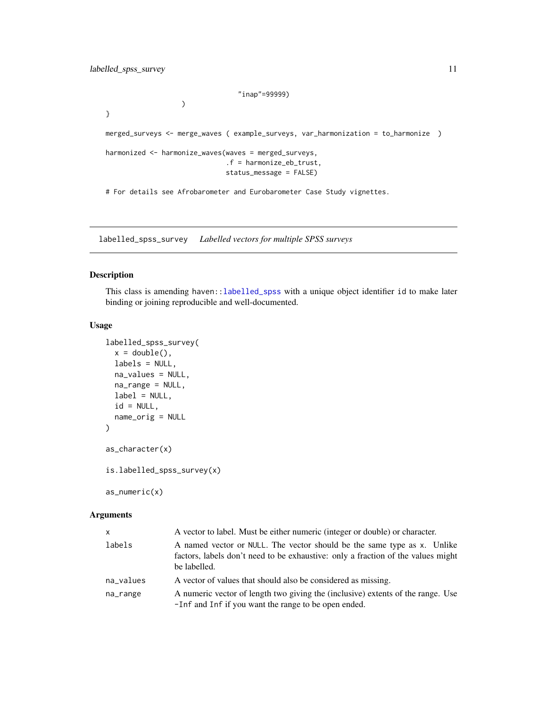```
"inap"=99999)
```
<span id="page-10-0"></span>}

```
merged_surveys <- merge_waves ( example_surveys, var_harmonization = to_harmonize )
```

```
harmonized <- harmonize_waves(waves = merged_surveys,
                              .f = harmonize_eb_trust,
                              status_message = FALSE)
```
)

# For details see Afrobarometer and Eurobarometer Case Study vignettes.

<span id="page-10-1"></span>labelled\_spss\_survey *Labelled vectors for multiple SPSS surveys*

#### <span id="page-10-2"></span>Description

This class is amending haven:[:labelled\\_spss](#page-0-0) with a unique object identifier id to make later binding or joining reproducible and well-documented.

#### Usage

```
labelled_spss_survey(
 x = double(),labels = NULL,
 na_values = NULL,
 na_range = NULL,
 label = NULL,id = NULL,name_orig = NULL
)
as_character(x)
is.labelled_spss_survey(x)
```
as\_numeric(x)

#### Arguments

| <b>X</b>  | A vector to label. Must be either numeric (integer or double) or character.                                                                                                 |
|-----------|-----------------------------------------------------------------------------------------------------------------------------------------------------------------------------|
| labels    | A named vector or NULL. The vector should be the same type as x. Unlike<br>factors, labels don't need to be exhaustive: only a fraction of the values might<br>be labelled. |
| na_values | A vector of values that should also be considered as missing.                                                                                                               |
| na_range  | A numeric vector of length two giving the (inclusive) extents of the range. Use<br>-Inf and Inf if you want the range to be open ended.                                     |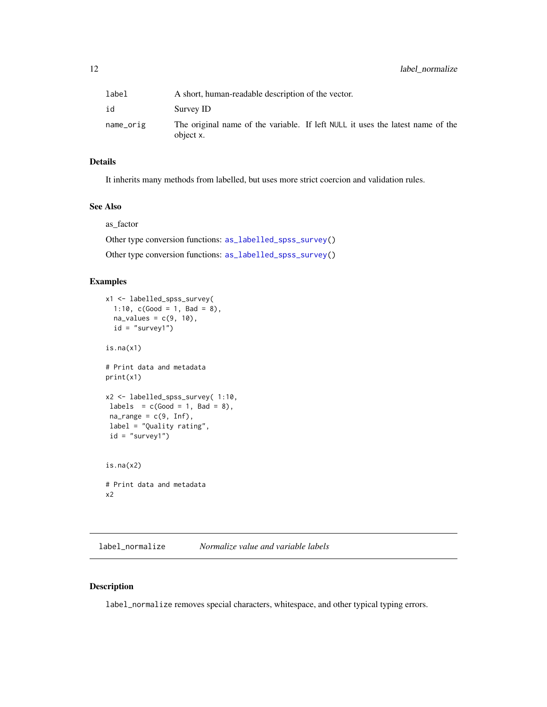<span id="page-11-0"></span>

| label     | A short, human-readable description of the vector.                                          |
|-----------|---------------------------------------------------------------------------------------------|
| id        | Survey ID                                                                                   |
| name_orig | The original name of the variable. If left NULL it uses the latest name of the<br>object x. |

#### Details

It inherits many methods from labelled, but uses more strict coercion and validation rules.

#### See Also

as\_factor

Other type conversion functions: [as\\_labelled\\_spss\\_survey\(](#page-2-2)) Other type conversion functions: [as\\_labelled\\_spss\\_survey\(](#page-2-2))

#### Examples

```
x1 <- labelled_spss_survey(
 1:10, c(Good = 1, Bad = 8),
 na\_values = c(9, 10),
  id = "survey1")
is.na(x1)
# Print data and metadata
print(x1)
x2 <- labelled_spss_survey( 1:10,
labels = c(Good = 1, Bad = 8),
 na\_range = c(9, Inf),label = "Quality rating",
 id = "survey1")is.na(x2)
# Print data and metadata
x2
```
<span id="page-11-1"></span>label\_normalize *Normalize value and variable labels*

#### Description

label\_normalize removes special characters, whitespace, and other typical typing errors.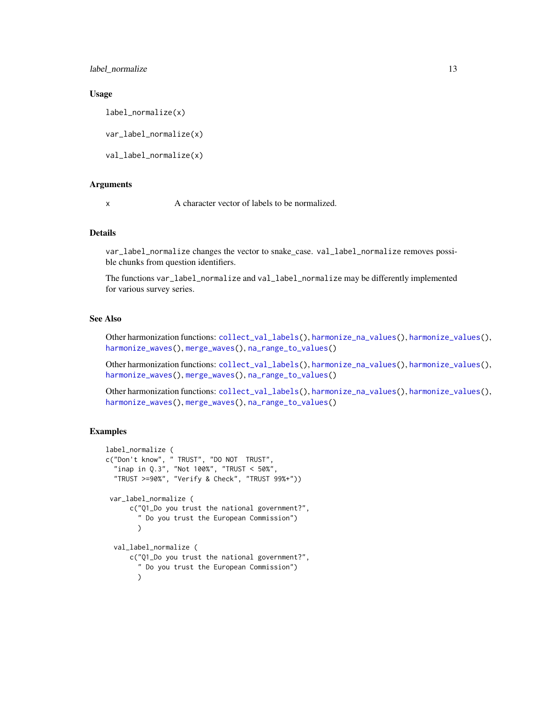<span id="page-12-0"></span>label\_normalize 13

#### Usage

```
label_normalize(x)
```
var\_label\_normalize(x)

val\_label\_normalize(x)

#### Arguments

x A character vector of labels to be normalized.

#### Details

var\_label\_normalize changes the vector to snake\_case. val\_label\_normalize removes possible chunks from question identifiers.

The functions var\_label\_normalize and val\_label\_normalize may be differently implemented for various survey series.

#### See Also

Other harmonization functions: [collect\\_val\\_labels\(](#page-2-1)), [harmonize\\_na\\_values\(](#page-6-1)), [harmonize\\_values\(](#page-7-1)), [harmonize\\_waves\(](#page-8-1)), [merge\\_waves\(](#page-13-1)), [na\\_range\\_to\\_values\(](#page-15-1))

Other harmonization functions: [collect\\_val\\_labels\(](#page-2-1)), [harmonize\\_na\\_values\(](#page-6-1)), [harmonize\\_values\(](#page-7-1)), [harmonize\\_waves\(](#page-8-1)), [merge\\_waves\(](#page-13-1)), [na\\_range\\_to\\_values\(](#page-15-1))

Other harmonization functions: [collect\\_val\\_labels\(](#page-2-1)), [harmonize\\_na\\_values\(](#page-6-1)), [harmonize\\_values\(](#page-7-1)), [harmonize\\_waves\(](#page-8-1)), [merge\\_waves\(](#page-13-1)), [na\\_range\\_to\\_values\(](#page-15-1))

```
label_normalize (
c("Don't know", " TRUST", "DO NOT TRUST",
  "inap in Q.3", "Not 100%", "TRUST < 50%",
  "TRUST >=90%", "Verify & Check", "TRUST 99%+"))
 var_label_normalize (
      c("Q1_Do you trust the national government?",
        " Do you trust the European Commission")
        )
 val_label_normalize (
      c("Q1_Do you trust the national government?",
        " Do you trust the European Commission")
        \lambda
```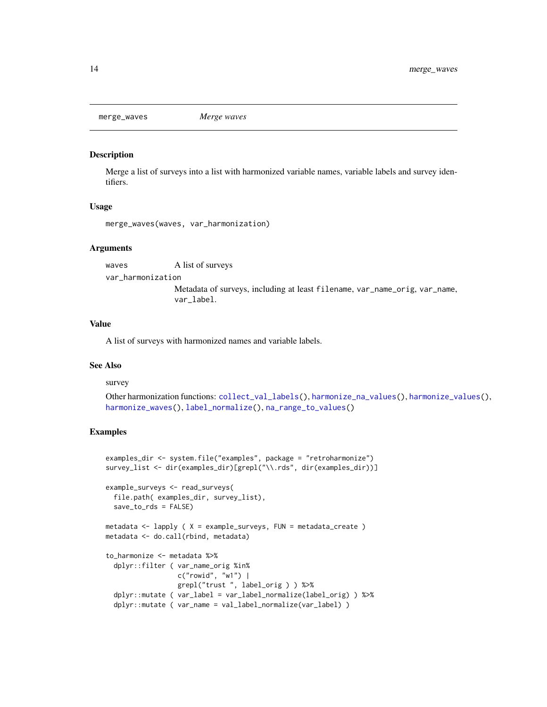<span id="page-13-1"></span><span id="page-13-0"></span>

#### Description

Merge a list of surveys into a list with harmonized variable names, variable labels and survey identifiers.

#### Usage

```
merge_waves(waves, var_harmonization)
```
#### Arguments

waves A list of surveys var\_harmonization Metadata of surveys, including at least filename, var\_name\_orig, var\_name, var\_label.

#### Value

A list of surveys with harmonized names and variable labels.

#### See Also

#### survey

Other harmonization functions: [collect\\_val\\_labels\(](#page-2-1)), [harmonize\\_na\\_values\(](#page-6-1)), [harmonize\\_values\(](#page-7-1)), [harmonize\\_waves\(](#page-8-1)), [label\\_normalize\(](#page-11-1)), [na\\_range\\_to\\_values\(](#page-15-1))

```
examples_dir <- system.file("examples", package = "retroharmonize")
survey_list <- dir(examples_dir)[grepl("\\.rds", dir(examples_dir))]
```

```
example_surveys <- read_surveys(
 file.path( examples_dir, survey_list),
 save_to_rds = FALSE)
```

```
metadata <- lapply ( X = example_surveys, FUN = metadata_create )
metadata <- do.call(rbind, metadata)
```

```
to_harmonize <- metadata %>%
 dplyr::filter ( var_name_orig %in%
                 c("rowid", "w1") |
                 grepl("trust ", label_orig ) ) %>%
 dplyr::mutate ( var_label = var_label_normalize(label_orig) ) %>%
 dplyr::mutate ( var_name = val_label_normalize(var_label) )
```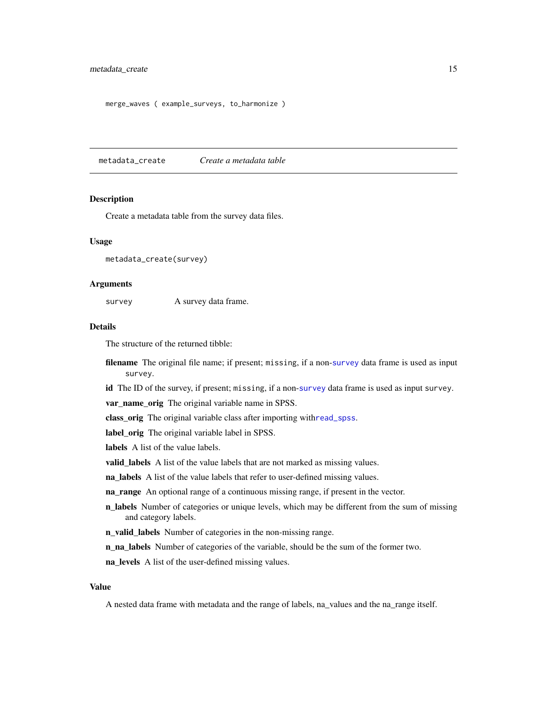```
merge_waves ( example_surveys, to_harmonize )
```
<span id="page-14-1"></span>metadata\_create *Create a metadata table*

#### Description

Create a metadata table from the survey data files.

#### Usage

```
metadata_create(survey)
```
#### Arguments

survey <br>A survey data frame.

#### Details

The structure of the returned tibble:

filename The original file name; if present; missing, if a non-[survey](#page-22-1) data frame is used as input survey.

id The ID of the [survey](#page-22-1), if present; missing, if a non-survey data frame is used as input survey.

var\_name\_orig The original variable name in SPSS.

class\_orig The original variable class after importing with[read\\_spss](#page-17-1).

label\_orig The original variable label in SPSS.

labels A list of the value labels.

valid\_labels A list of the value labels that are not marked as missing values.

na\_labels A list of the value labels that refer to user-defined missing values.

na\_range An optional range of a continuous missing range, if present in the vector.

**n\_labels** Number of categories or unique levels, which may be different from the sum of missing and category labels.

n\_valid\_labels Number of categories in the non-missing range.

n\_na\_labels Number of categories of the variable, should be the sum of the former two.

na\_levels A list of the user-defined missing values.

#### Value

A nested data frame with metadata and the range of labels, na\_values and the na\_range itself.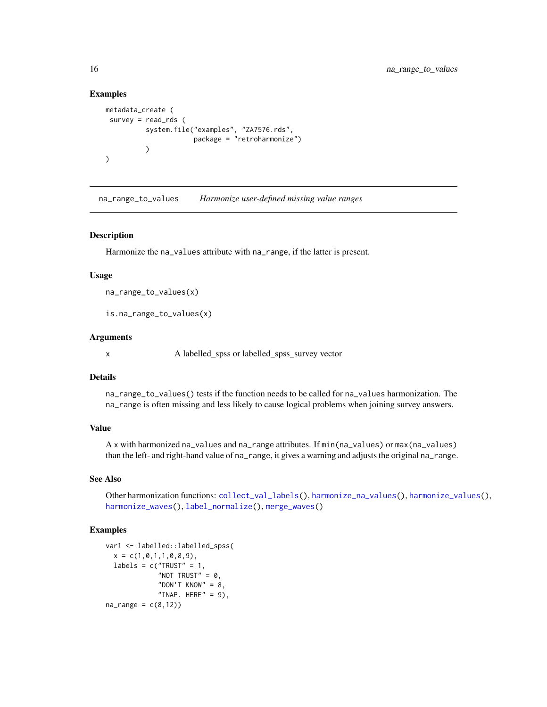#### Examples

```
metadata_create (
 survey = read_rds (
          system.file("examples", "ZA7576.rds",
                       package = "retroharmonize")
          \lambda)
```
<span id="page-15-1"></span>na\_range\_to\_values *Harmonize user-defined missing value ranges*

#### Description

Harmonize the na\_values attribute with na\_range, if the latter is present.

#### Usage

na\_range\_to\_values(x)

is.na\_range\_to\_values(x)

#### Arguments

x A labelled\_spss or labelled\_spss\_survey vector

#### Details

na\_range\_to\_values() tests if the function needs to be called for na\_values harmonization. The na\_range is often missing and less likely to cause logical problems when joining survey answers.

#### Value

A x with harmonized na\_values and na\_range attributes. If min(na\_values) or max(na\_values) than the left- and right-hand value of na\_range, it gives a warning and adjusts the original na\_range.

#### See Also

Other harmonization functions: [collect\\_val\\_labels\(](#page-2-1)), [harmonize\\_na\\_values\(](#page-6-1)), [harmonize\\_values\(](#page-7-1)), [harmonize\\_waves\(](#page-8-1)), [label\\_normalize\(](#page-11-1)), [merge\\_waves\(](#page-13-1))

```
var1 <- labelled::labelled_spss(
 x = c(1, 0, 1, 1, 0, 8, 9),
 labels = c("TRUST" = 1,"NOT TRUST" = 0,
             "DON'T KNOW" = 8,
             "INAP. HERE" = 9),
na\_range = c(8, 12)
```
<span id="page-15-0"></span>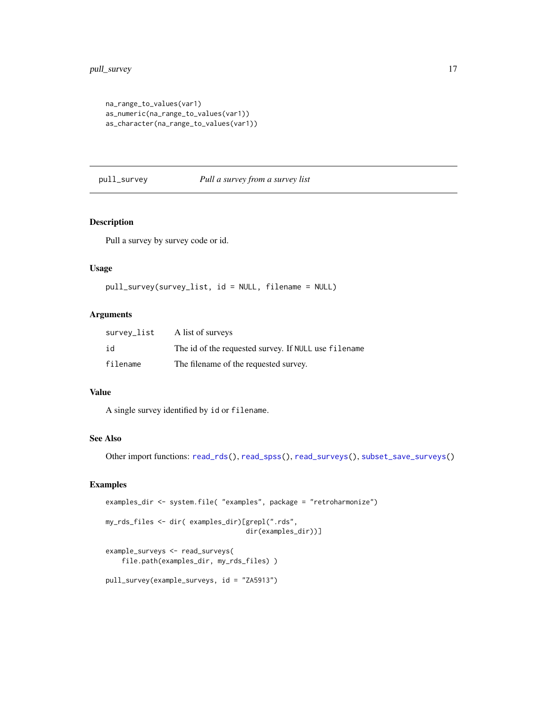```
na_range_to_values(var1)
as_numeric(na_range_to_values(var1))
as_character(na_range_to_values(var1))
```
<span id="page-16-1"></span>pull\_survey *Pull a survey from a survey list*

#### Description

Pull a survey by survey code or id.

#### Usage

```
pull_survey(survey_list, id = NULL, filename = NULL)
```
#### Arguments

| survey_list | A list of surveys                                    |
|-------------|------------------------------------------------------|
| id          | The id of the requested survey. If NULL use filename |
| filename    | The filename of the requested survey.                |

#### Value

A single survey identified by id or filename.

#### See Also

Other import functions: [read\\_rds\(](#page-17-2)), [read\\_spss\(](#page-17-1)), [read\\_surveys\(](#page-19-1)), [subset\\_save\\_surveys\(](#page-21-1))

```
examples_dir <- system.file( "examples", package = "retroharmonize")
my_rds_files <- dir( examples_dir)[grepl(".rds",
                                   dir(examples_dir))]
example_surveys <- read_surveys(
    file.path(examples_dir, my_rds_files) )
```

```
pull_survey(example_surveys, id = "ZA5913")
```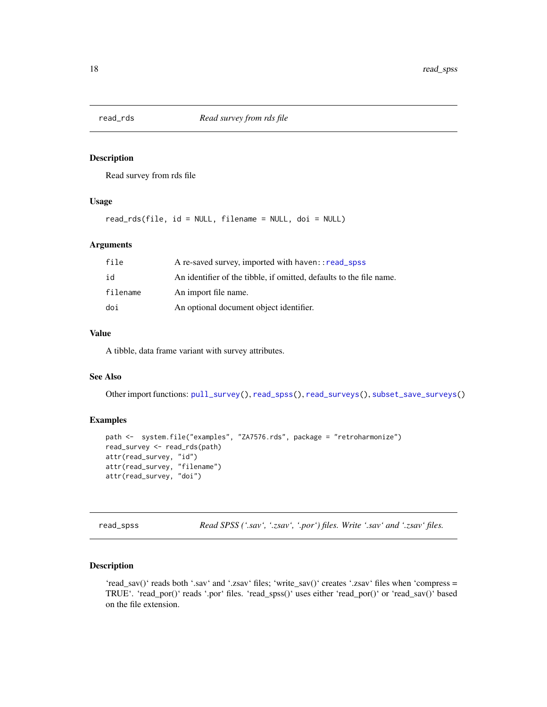<span id="page-17-2"></span><span id="page-17-0"></span>

#### Description

Read survey from rds file

#### Usage

read\_rds(file, id = NULL, filename = NULL, doi = NULL)

#### Arguments

| file     | A re-saved survey, imported with haven: : read_spss                 |
|----------|---------------------------------------------------------------------|
| id       | An identifier of the tibble, if omitted, defaults to the file name. |
| filename | An import file name.                                                |
| doi      | An optional document object identifier.                             |

#### Value

A tibble, data frame variant with survey attributes.

#### See Also

Other import functions: [pull\\_survey\(](#page-16-1)), [read\\_spss\(](#page-17-1)), [read\\_surveys\(](#page-19-1)), [subset\\_save\\_surveys\(](#page-21-1))

#### Examples

```
path <- system.file("examples", "ZA7576.rds", package = "retroharmonize")
read_survey <- read_rds(path)
attr(read_survey, "id")
attr(read_survey, "filename")
attr(read_survey, "doi")
```
<span id="page-17-1"></span>read\_spss *Read SPSS ('.sav', '.zsav', '.por') files. Write '.sav' and '.zsav' files.*

#### Description

'read\_sav()' reads both '.sav' and '.zsav' files; 'write\_sav()' creates '.zsav' files when 'compress = TRUE'. 'read\_por()' reads '.por' files. 'read\_spss()' uses either 'read\_por()' or 'read\_sav()' based on the file extension.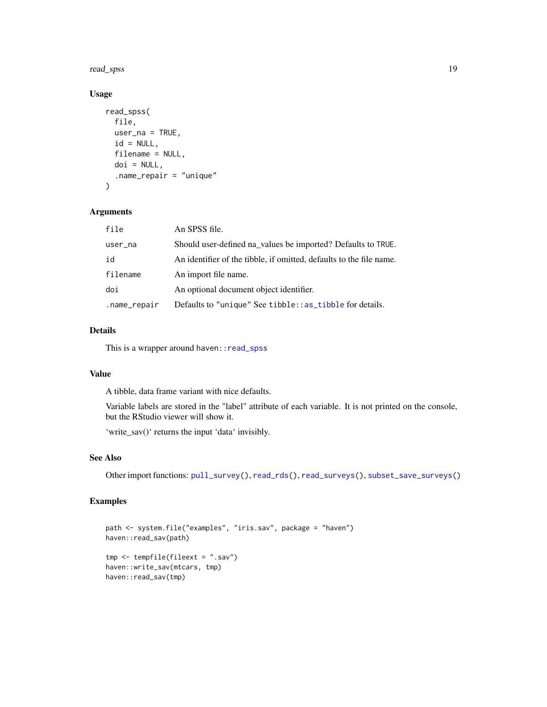<span id="page-18-0"></span>read\_spss 19

#### Usage

```
read_spss(
 file,
 user_na = TRUE,
 id = NULL,filename = NULL,
 doi = NULL,.name_repair = "unique"
)
```
#### Arguments

| file         | An SPSS file.                                                       |
|--------------|---------------------------------------------------------------------|
| user_na      | Should user-defined na_values be imported? Defaults to TRUE.        |
| id           | An identifier of the tibble, if omitted, defaults to the file name. |
| filename     | An import file name.                                                |
| doi          | An optional document object identifier.                             |
| .name_repair | Defaults to "unique" See tibble::as_tibble for details.             |

#### Details

This is a wrapper around haven:: read\_spss

#### Value

A tibble, data frame variant with nice defaults.

Variable labels are stored in the "label" attribute of each variable. It is not printed on the console, but the RStudio viewer will show it.

'write\_sav()' returns the input 'data' invisibly.

#### See Also

Other import functions: [pull\\_survey\(](#page-16-1)), [read\\_rds\(](#page-17-2)), [read\\_surveys\(](#page-19-1)), [subset\\_save\\_surveys\(](#page-21-1))

```
path <- system.file("examples", "iris.sav", package = "haven")
haven::read_sav(path)
tmp <- tempfile(fileext = ".sav")
haven::write_sav(mtcars, tmp)
haven::read_sav(tmp)
```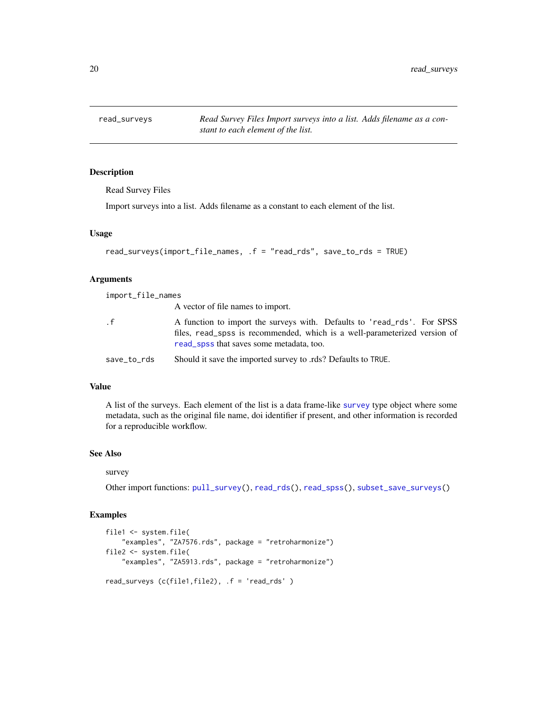<span id="page-19-1"></span><span id="page-19-0"></span>read\_surveys *Read Survey Files Import surveys into a list. Adds filename as a constant to each element of the list.*

#### Description

Read Survey Files

Import surveys into a list. Adds filename as a constant to each element of the list.

#### Usage

```
read_surveys(import_file_names, .f = "read_rds", save_to_rds = TRUE)
```
#### Arguments

import\_file\_names A vector of file names to import. .f A function to import the surveys with. Defaults to 'read\_rds'. For SPSS files, read\_spss is recommended, which is a well-parameterized version of [read\\_spss](#page-17-1) that saves some metadata, too.

save\_to\_rds Should it save the imported survey to .rds? Defaults to TRUE.

#### Value

A list of the surveys. Each element of the list is a data frame-like [survey](#page-22-1) type object where some metadata, such as the original file name, doi identifier if present, and other information is recorded for a reproducible workflow.

#### See Also

#### survey

Other import functions: [pull\\_survey\(](#page-16-1)), [read\\_rds\(](#page-17-2)), [read\\_spss\(](#page-17-1)), [subset\\_save\\_surveys\(](#page-21-1))

```
file1 <- system.file(
    "examples", "ZA7576.rds", package = "retroharmonize")
file2 <- system.file(
    "examples", "ZA5913.rds", package = "retroharmonize")
read_surveys (c(file1,file2), .f = 'read_rds' )
```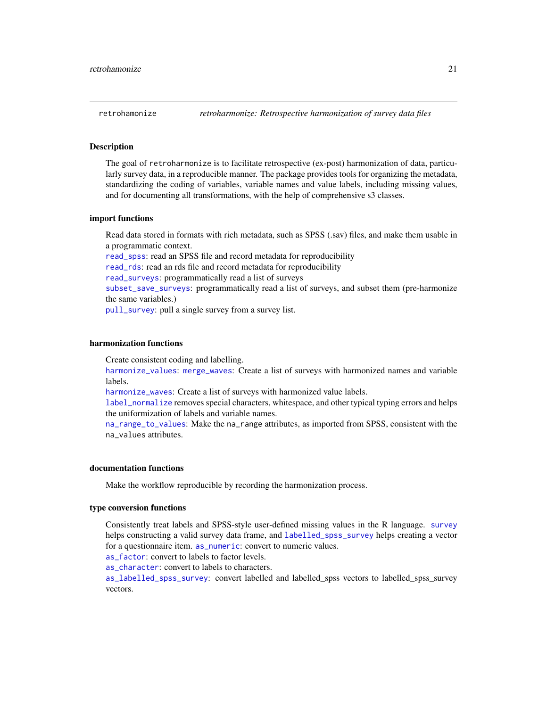<span id="page-20-0"></span>

#### **Description**

The goal of retroharmonize is to facilitate retrospective (ex-post) harmonization of data, particularly survey data, in a reproducible manner. The package provides tools for organizing the metadata, standardizing the coding of variables, variable names and value labels, including missing values, and for documenting all transformations, with the help of comprehensive s3 classes.

#### import functions

Read data stored in formats with rich metadata, such as SPSS (.sav) files, and make them usable in a programmatic context.

[read\\_spss](#page-17-1): read an SPSS file and record metadata for reproducibility [read\\_rds](#page-17-2): read an rds file and record metadata for reproducibility [read\\_surveys](#page-19-1): programmatically read a list of surveys [subset\\_save\\_surveys](#page-21-1): programmatically read a list of surveys, and subset them (pre-harmonize the same variables.) [pull\\_survey](#page-16-1): pull a single survey from a survey list.

#### harmonization functions

Create consistent coding and labelling.

[harmonize\\_values](#page-7-1): [merge\\_waves](#page-13-1): Create a list of surveys with harmonized names and variable labels.

[harmonize\\_waves](#page-8-1): Create a list of surveys with harmonized value labels.

[label\\_normalize](#page-11-1) removes special characters, whitespace, and other typical typing errors and helps the uniformization of labels and variable names.

[na\\_range\\_to\\_values](#page-15-1): Make the na\_range attributes, as imported from SPSS, consistent with the na\_values attributes.

#### documentation functions

Make the workflow reproducible by recording the harmonization process.

#### type conversion functions

Consistently treat labels and SPSS-style user-defined missing values in the R language. [survey](#page-22-1) helps constructing a valid survey data frame, and [labelled\\_spss\\_survey](#page-10-1) helps creating a vector for a questionnaire item. [as\\_numeric](#page-10-2): convert to numeric values.

[as\\_factor](#page-1-1): convert to labels to factor levels.

[as\\_character](#page-10-2): convert to labels to characters.

[as\\_labelled\\_spss\\_survey](#page-2-2): convert labelled and labelled\_spss vectors to labelled\_spss\_survey vectors.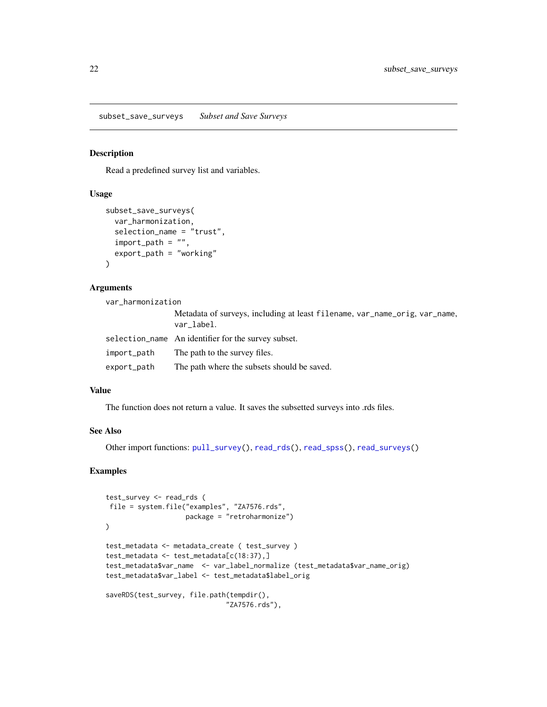<span id="page-21-1"></span><span id="page-21-0"></span>subset\_save\_surveys *Subset and Save Surveys*

#### Description

Read a predefined survey list and variables.

#### Usage

```
subset_save_surveys(
 var_harmonization,
  selection_name = "trust",
 import\_path = "".export_path = "working"
\lambda
```
#### Arguments

var\_harmonization

|             | Metadata of surveys, including at least filename, var_name_orig, var_name,<br>var label. |
|-------------|------------------------------------------------------------------------------------------|
|             | selection_name An identifier for the survey subset.                                      |
| import_path | The path to the survey files.                                                            |
| export_path | The path where the subsets should be saved.                                              |

#### Value

The function does not return a value. It saves the subsetted surveys into .rds files.

#### See Also

Other import functions: [pull\\_survey\(](#page-16-1)), [read\\_rds\(](#page-17-2)), [read\\_spss\(](#page-17-1)), [read\\_surveys\(](#page-19-1))

```
test_survey <- read_rds (
file = system.file("examples", "ZA7576.rds",
                   package = "retroharmonize")
)
test_metadata <- metadata_create ( test_survey )
test_metadata <- test_metadata[c(18:37),]
test_metadata$var_name <- var_label_normalize (test_metadata$var_name_orig)
test_metadata$var_label <- test_metadata$label_orig
saveRDS(test_survey, file.path(tempdir(),
                              "ZA7576.rds"),
```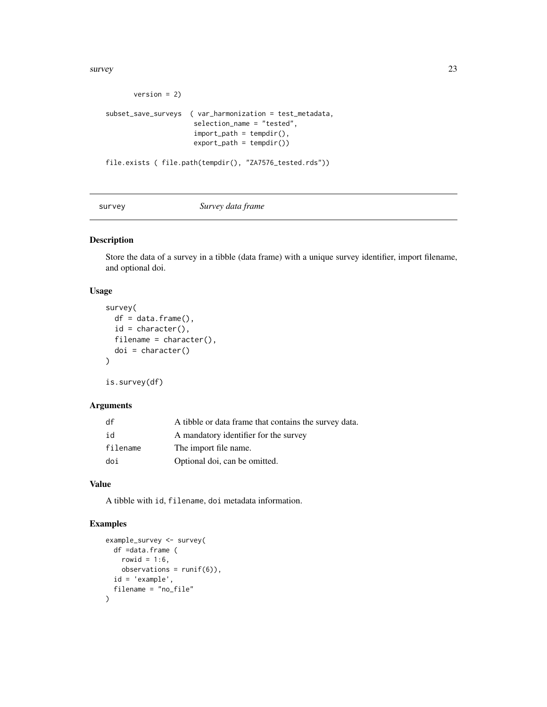<span id="page-22-0"></span>survey 23

```
version = 2)subset_save_surveys ( var_harmonization = test_metadata,
                     selection_name = "tested",
                     import\_path = tempdir(),export_path = tempdir())
file.exists ( file.path(tempdir(), "ZA7576_tested.rds"))
```
#### <span id="page-22-1"></span>survey *Survey data frame*

#### Description

Store the data of a survey in a tibble (data frame) with a unique survey identifier, import filename, and optional doi.

#### Usage

```
survey(
 df = data.frame(),
  id = character(),filename = character(),
  doi = character()\lambda
```
is.survey(df)

#### Arguments

| df       | A tibble or data frame that contains the survey data. |
|----------|-------------------------------------------------------|
| id       | A mandatory identifier for the survey                 |
| filename | The import file name.                                 |
| doi      | Optional doi, can be omitted.                         |

#### Value

A tibble with id, filename, doi metadata information.

```
example_survey <- survey(
  df =data.frame (
    rowid = 1:6,
    observation = runif(6),
  id = 'example',
  filename = "no_file"
\mathcal{L}
```